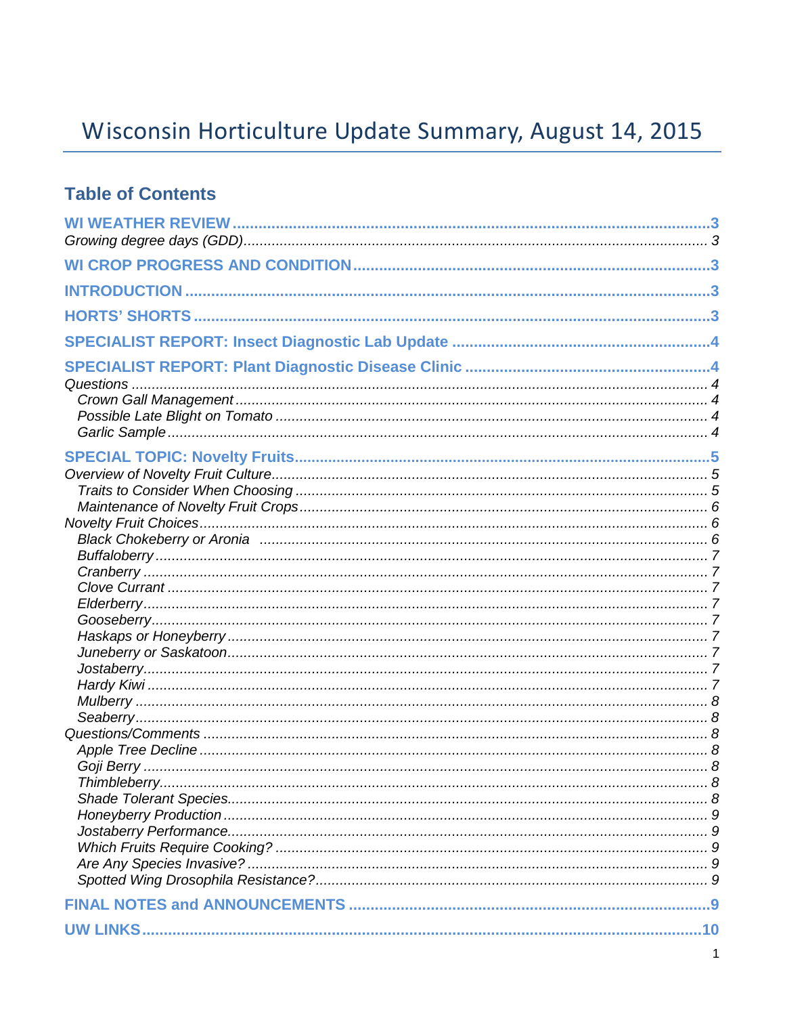# Wisconsin Horticulture Update Summary, August 14, 2015

### **Table of Contents**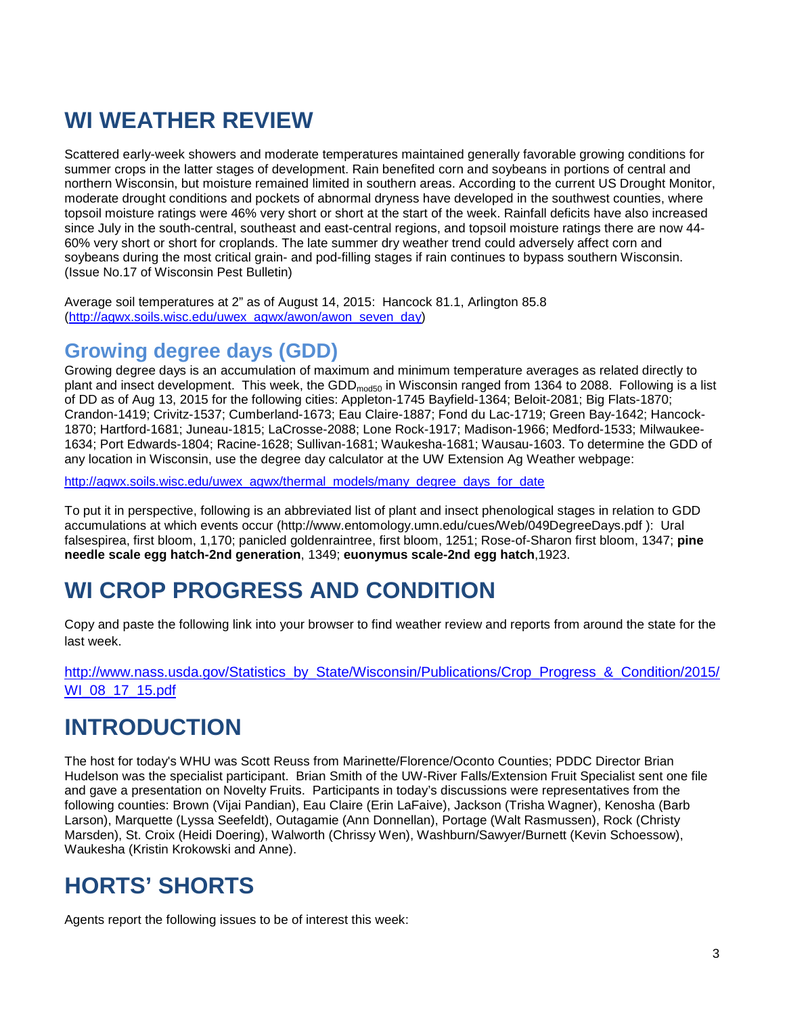# **WI WEATHER REVIEW**

Scattered early-week showers and moderate temperatures maintained generally favorable growing conditions for summer crops in the latter stages of development. Rain benefited corn and soybeans in portions of central and northern Wisconsin, but moisture remained limited in southern areas. According to the current US Drought Monitor, moderate drought conditions and pockets of abnormal dryness have developed in the southwest counties, where topsoil moisture ratings were 46% very short or short at the start of the week. Rainfall deficits have also increased since July in the south-central, southeast and east-central regions, and topsoil moisture ratings there are now 44- 60% very short or short for croplands. The late summer dry weather trend could adversely affect corn and soybeans during the most critical grain- and pod-filling stages if rain continues to bypass southern Wisconsin. (Issue No.17 of Wisconsin Pest Bulletin)

Average soil temperatures at 2" as of August 14, 2015: Hancock 81.1, Arlington 85.8 [\(http://agwx.soils.wisc.edu/uwex\\_agwx/awon/awon\\_seven\\_day\)](http://agwx.soils.wisc.edu/uwex_agwx/awon/awon_seven_day)

### **Growing degree days (GDD)**

Growing degree days is an accumulation of maximum and minimum temperature averages as related directly to plant and insect development. This week, the GDD<sub>mod50</sub> in Wisconsin ranged from 1364 to 2088. Following is a list of DD as of Aug 13, 2015 for the following cities: Appleton-1745 Bayfield-1364; Beloit-2081; Big Flats-1870; Crandon-1419; Crivitz-1537; Cumberland-1673; Eau Claire-1887; Fond du Lac-1719; Green Bay-1642; Hancock-1870; Hartford-1681; Juneau-1815; LaCrosse-2088; Lone Rock-1917; Madison-1966; Medford-1533; Milwaukee-1634; Port Edwards-1804; Racine-1628; Sullivan-1681; Waukesha-1681; Wausau-1603. To determine the GDD of any location in Wisconsin, use the degree day calculator at the UW Extension Ag Weather webpage:

[http://agwx.soils.wisc.edu/uwex\\_agwx/thermal\\_models/many\\_degree\\_days\\_for\\_date](http://agwx.soils.wisc.edu/uwex_agwx/thermal_models/many_degree_days_for_date)

To put it in perspective, following is an abbreviated list of plant and insect phenological stages in relation to GDD accumulations at which events occur (http://www.entomology.umn.edu/cues/Web/049DegreeDays.pdf ): Ural falsespirea, first bloom, 1,170; panicled goldenraintree, first bloom, 1251; Rose-of-Sharon first bloom, 1347; **pine needle scale egg hatch-2nd generation**, 1349; **euonymus scale-2nd egg hatch**,1923.

# **WI CROP PROGRESS AND CONDITION**

Copy and paste the following link into your browser to find weather review and reports from around the state for the last week.

[http://www.nass.usda.gov/Statistics\\_by\\_State/Wisconsin/Publications/Crop\\_Progress\\_&\\_Condition/2015/](http://www.nass.usda.gov/Statistics_by_State/Wisconsin/Publications/Crop_Progress_&_Condition/2015/WI_08_17_15.pdf) [WI\\_08\\_17\\_15.pdf](http://www.nass.usda.gov/Statistics_by_State/Wisconsin/Publications/Crop_Progress_&_Condition/2015/WI_08_17_15.pdf)

# **INTRODUCTION**

The host for today's WHU was Scott Reuss from Marinette/Florence/Oconto Counties; PDDC Director Brian Hudelson was the specialist participant. Brian Smith of the UW-River Falls/Extension Fruit Specialist sent one file and gave a presentation on Novelty Fruits. Participants in today's discussions were representatives from the following counties: Brown (Vijai Pandian), Eau Claire (Erin LaFaive), Jackson (Trisha Wagner), Kenosha (Barb Larson), Marquette (Lyssa Seefeldt), Outagamie (Ann Donnellan), Portage (Walt Rasmussen), Rock (Christy Marsden), St. Croix (Heidi Doering), Walworth (Chrissy Wen), Washburn/Sawyer/Burnett (Kevin Schoessow), Waukesha (Kristin Krokowski and Anne).

# **HORTS' SHORTS**

Agents report the following issues to be of interest this week: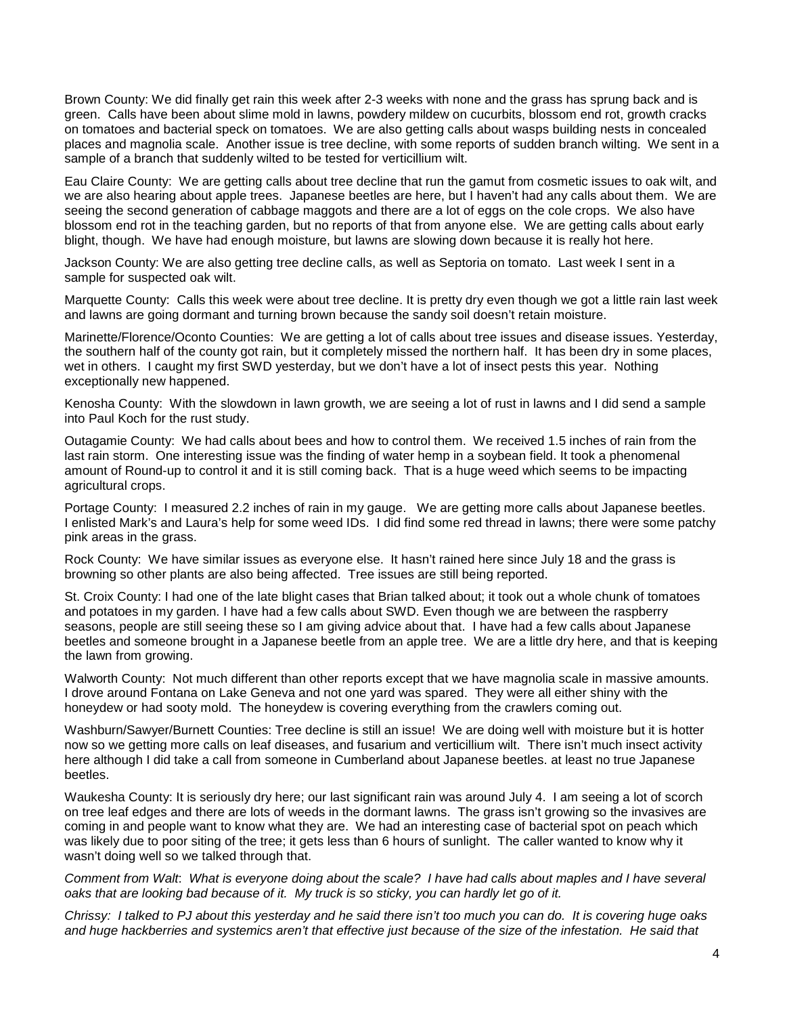Brown County: We did finally get rain this week after 2-3 weeks with none and the grass has sprung back and is green. Calls have been about slime mold in lawns, powdery mildew on cucurbits, blossom end rot, growth cracks on tomatoes and bacterial speck on tomatoes. We are also getting calls about wasps building nests in concealed places and magnolia scale. Another issue is tree decline, with some reports of sudden branch wilting. We sent in a sample of a branch that suddenly wilted to be tested for verticillium wilt.

Eau Claire County: We are getting calls about tree decline that run the gamut from cosmetic issues to oak wilt, and we are also hearing about apple trees. Japanese beetles are here, but I haven't had any calls about them. We are seeing the second generation of cabbage maggots and there are a lot of eggs on the cole crops. We also have blossom end rot in the teaching garden, but no reports of that from anyone else. We are getting calls about early blight, though. We have had enough moisture, but lawns are slowing down because it is really hot here.

Jackson County: We are also getting tree decline calls, as well as Septoria on tomato. Last week I sent in a sample for suspected oak wilt.

Marquette County: Calls this week were about tree decline. It is pretty dry even though we got a little rain last week and lawns are going dormant and turning brown because the sandy soil doesn't retain moisture.

Marinette/Florence/Oconto Counties: We are getting a lot of calls about tree issues and disease issues. Yesterday, the southern half of the county got rain, but it completely missed the northern half. It has been dry in some places, wet in others. I caught my first SWD yesterday, but we don't have a lot of insect pests this year. Nothing exceptionally new happened.

Kenosha County: With the slowdown in lawn growth, we are seeing a lot of rust in lawns and I did send a sample into Paul Koch for the rust study.

Outagamie County: We had calls about bees and how to control them. We received 1.5 inches of rain from the last rain storm. One interesting issue was the finding of water hemp in a soybean field. It took a phenomenal amount of Round-up to control it and it is still coming back. That is a huge weed which seems to be impacting agricultural crops.

Portage County: I measured 2.2 inches of rain in my gauge. We are getting more calls about Japanese beetles. I enlisted Mark's and Laura's help for some weed IDs. I did find some red thread in lawns; there were some patchy pink areas in the grass.

Rock County: We have similar issues as everyone else. It hasn't rained here since July 18 and the grass is browning so other plants are also being affected. Tree issues are still being reported.

St. Croix County: I had one of the late blight cases that Brian talked about; it took out a whole chunk of tomatoes and potatoes in my garden. I have had a few calls about SWD. Even though we are between the raspberry seasons, people are still seeing these so I am giving advice about that. I have had a few calls about Japanese beetles and someone brought in a Japanese beetle from an apple tree. We are a little dry here, and that is keeping the lawn from growing.

Walworth County: Not much different than other reports except that we have magnolia scale in massive amounts. I drove around Fontana on Lake Geneva and not one yard was spared. They were all either shiny with the honeydew or had sooty mold. The honeydew is covering everything from the crawlers coming out.

Washburn/Sawyer/Burnett Counties: Tree decline is still an issue! We are doing well with moisture but it is hotter now so we getting more calls on leaf diseases, and fusarium and verticillium wilt. There isn't much insect activity here although I did take a call from someone in Cumberland about Japanese beetles. at least no true Japanese beetles.

Waukesha County: It is seriously dry here; our last significant rain was around July 4. I am seeing a lot of scorch on tree leaf edges and there are lots of weeds in the dormant lawns. The grass isn't growing so the invasives are coming in and people want to know what they are. We had an interesting case of bacterial spot on peach which was likely due to poor siting of the tree; it gets less than 6 hours of sunlight. The caller wanted to know why it wasn't doing well so we talked through that.

*Comment from Walt*: *What is everyone doing about the scale? I have had calls about maples and I have several oaks that are looking bad because of it. My truck is so sticky, you can hardly let go of it.*

*Chrissy: I talked to PJ about this yesterday and he said there isn't too much you can do. It is covering huge oaks*  and huge hackberries and systemics aren't that effective just because of the size of the infestation. He said that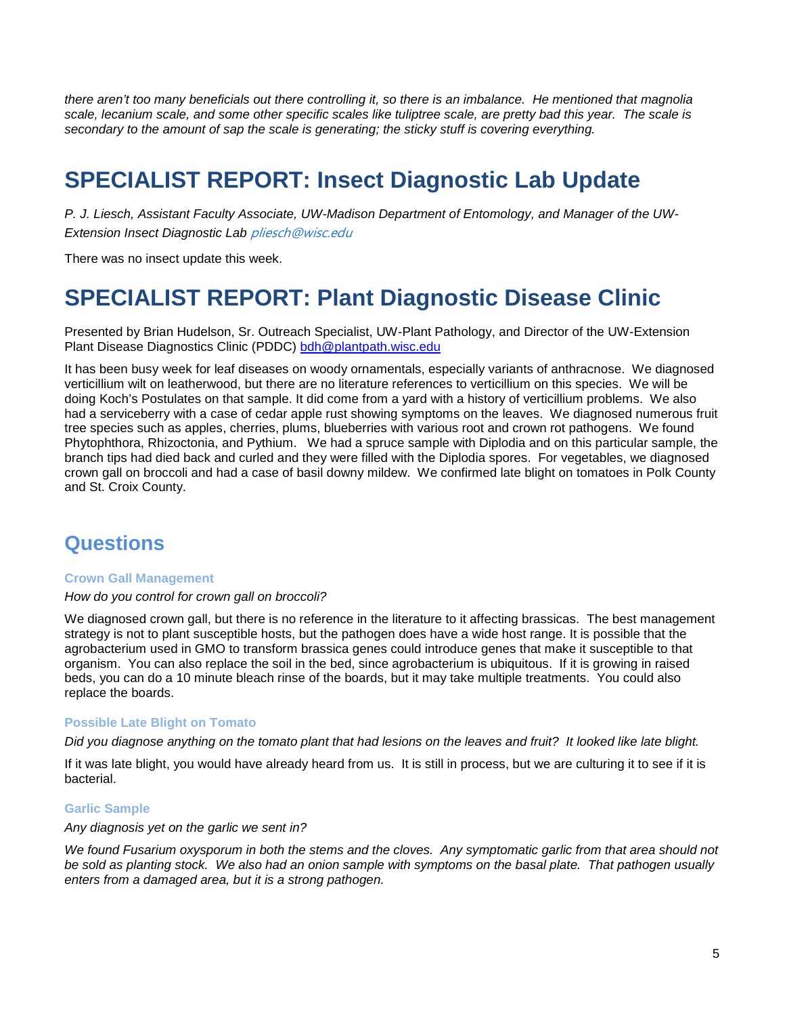*there aren't too many beneficials out there controlling it, so there is an imbalance. He mentioned that magnolia scale, lecanium scale, and some other specific scales like tuliptree scale, are pretty bad this year. The scale is secondary to the amount of sap the scale is generating; the sticky stuff is covering everything.*

# **SPECIALIST REPORT: Insect Diagnostic Lab Update**

*P. J. Liesch, Assistant Faculty Associate, UW-Madison Department of Entomology, and Manager of the UW-Extension Insect Diagnostic Lab* [pliesch@wisc.edu](mailto:pliesch@wisc.edu)

There was no insect update this week.

## **SPECIALIST REPORT: Plant Diagnostic Disease Clinic**

Presented by Brian Hudelson, Sr. Outreach Specialist, UW-Plant Pathology, and Director of the UW-Extension Plant Disease Diagnostics Clinic (PDDC) [bdh@plantpath.wisc.edu](mailto:bdh@plantpath.wisc.edu)

It has been busy week for leaf diseases on woody ornamentals, especially variants of anthracnose. We diagnosed verticillium wilt on leatherwood, but there are no literature references to verticillium on this species. We will be doing Koch's Postulates on that sample. It did come from a yard with a history of verticillium problems. We also had a serviceberry with a case of cedar apple rust showing symptoms on the leaves. We diagnosed numerous fruit tree species such as apples, cherries, plums, blueberries with various root and crown rot pathogens. We found Phytophthora, Rhizoctonia, and Pythium. We had a spruce sample with Diplodia and on this particular sample, the branch tips had died back and curled and they were filled with the Diplodia spores. For vegetables, we diagnosed crown gall on broccoli and had a case of basil downy mildew. We confirmed late blight on tomatoes in Polk County and St. Croix County.

### **Questions**

#### **Crown Gall Management**

#### *How do you control for crown gall on broccoli?*

We diagnosed crown gall, but there is no reference in the literature to it affecting brassicas. The best management strategy is not to plant susceptible hosts, but the pathogen does have a wide host range. It is possible that the agrobacterium used in GMO to transform brassica genes could introduce genes that make it susceptible to that organism. You can also replace the soil in the bed, since agrobacterium is ubiquitous. If it is growing in raised beds, you can do a 10 minute bleach rinse of the boards, but it may take multiple treatments. You could also replace the boards.

#### **Possible Late Blight on Tomato**

*Did you diagnose anything on the tomato plant that had lesions on the leaves and fruit? It looked like late blight.*

If it was late blight, you would have already heard from us. It is still in process, but we are culturing it to see if it is bacterial.

#### **Garlic Sample**

### *Any diagnosis yet on the garlic we sent in?*

*We found Fusarium oxysporum in both the stems and the cloves. Any symptomatic garlic from that area should not be sold as planting stock. We also had an onion sample with symptoms on the basal plate. That pathogen usually enters from a damaged area, but it is a strong pathogen.*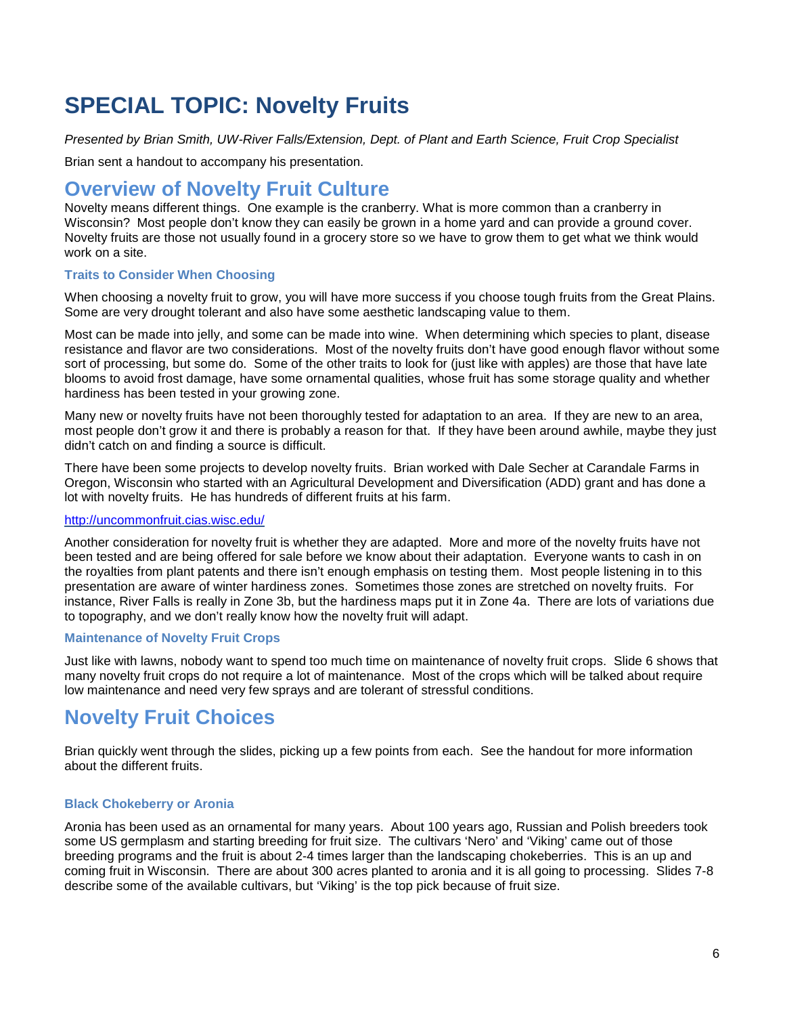## **SPECIAL TOPIC: Novelty Fruits**

*Presented by Brian Smith, UW-River Falls/Extension, Dept. of Plant and Earth Science, Fruit Crop Specialist*

Brian sent a handout to accompany his presentation.

### **Overview of Novelty Fruit Culture**

Novelty means different things. One example is the cranberry. What is more common than a cranberry in Wisconsin? Most people don't know they can easily be grown in a home yard and can provide a ground cover. Novelty fruits are those not usually found in a grocery store so we have to grow them to get what we think would work on a site.

#### **Traits to Consider When Choosing**

When choosing a novelty fruit to grow, you will have more success if you choose tough fruits from the Great Plains. Some are very drought tolerant and also have some aesthetic landscaping value to them.

Most can be made into jelly, and some can be made into wine. When determining which species to plant, disease resistance and flavor are two considerations. Most of the novelty fruits don't have good enough flavor without some sort of processing, but some do. Some of the other traits to look for (just like with apples) are those that have late blooms to avoid frost damage, have some ornamental qualities, whose fruit has some storage quality and whether hardiness has been tested in your growing zone.

Many new or novelty fruits have not been thoroughly tested for adaptation to an area. If they are new to an area, most people don't grow it and there is probably a reason for that. If they have been around awhile, maybe they just didn't catch on and finding a source is difficult.

There have been some projects to develop novelty fruits. Brian worked with Dale Secher at Carandale Farms in Oregon, Wisconsin who started with an Agricultural Development and Diversification (ADD) grant and has done a lot with novelty fruits. He has hundreds of different fruits at his farm.

#### <http://uncommonfruit.cias.wisc.edu/>

Another consideration for novelty fruit is whether they are adapted. More and more of the novelty fruits have not been tested and are being offered for sale before we know about their adaptation. Everyone wants to cash in on the royalties from plant patents and there isn't enough emphasis on testing them. Most people listening in to this presentation are aware of winter hardiness zones. Sometimes those zones are stretched on novelty fruits. For instance, River Falls is really in Zone 3b, but the hardiness maps put it in Zone 4a. There are lots of variations due to topography, and we don't really know how the novelty fruit will adapt.

#### **Maintenance of Novelty Fruit Crops**

Just like with lawns, nobody want to spend too much time on maintenance of novelty fruit crops. Slide 6 shows that many novelty fruit crops do not require a lot of maintenance. Most of the crops which will be talked about require low maintenance and need very few sprays and are tolerant of stressful conditions.

### **Novelty Fruit Choices**

Brian quickly went through the slides, picking up a few points from each. See the handout for more information about the different fruits.

### **Black Chokeberry or Aronia**

Aronia has been used as an ornamental for many years. About 100 years ago, Russian and Polish breeders took some US germplasm and starting breeding for fruit size. The cultivars 'Nero' and 'Viking' came out of those breeding programs and the fruit is about 2-4 times larger than the landscaping chokeberries. This is an up and coming fruit in Wisconsin. There are about 300 acres planted to aronia and it is all going to processing. Slides 7-8 describe some of the available cultivars, but 'Viking' is the top pick because of fruit size.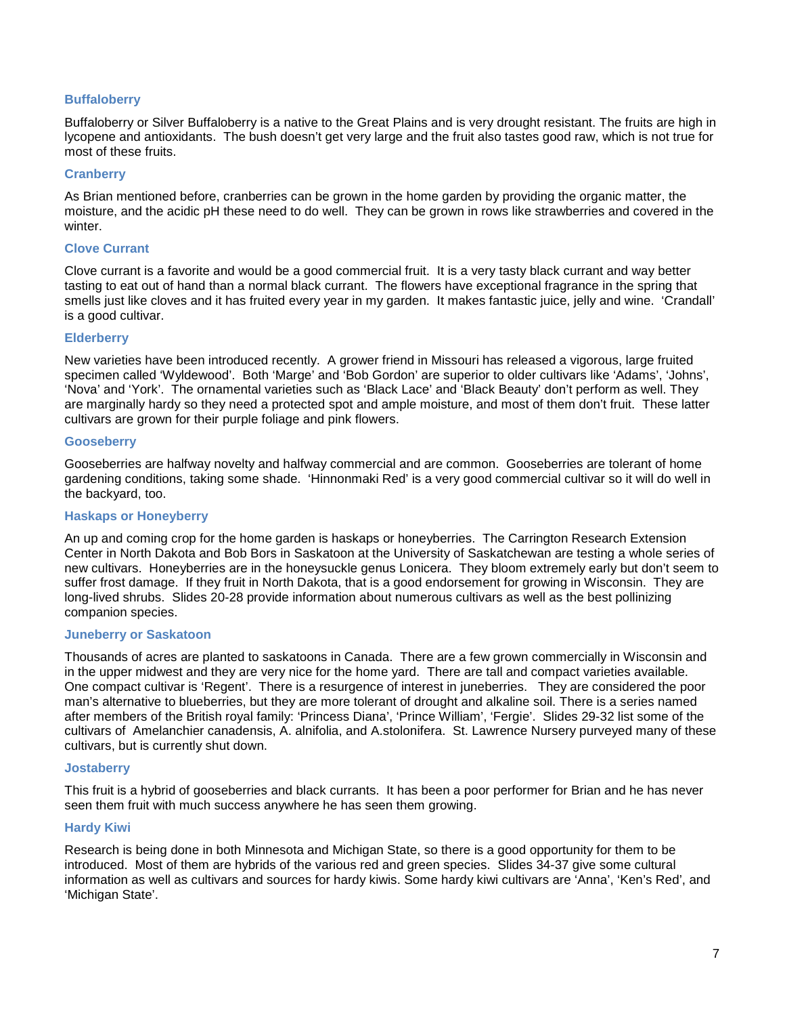#### **Buffaloberry**

Buffaloberry or Silver Buffaloberry is a native to the Great Plains and is very drought resistant. The fruits are high in lycopene and antioxidants. The bush doesn't get very large and the fruit also tastes good raw, which is not true for most of these fruits.

#### **Cranberry**

As Brian mentioned before, cranberries can be grown in the home garden by providing the organic matter, the moisture, and the acidic pH these need to do well. They can be grown in rows like strawberries and covered in the winter.

#### **Clove Currant**

Clove currant is a favorite and would be a good commercial fruit. It is a very tasty black currant and way better tasting to eat out of hand than a normal black currant. The flowers have exceptional fragrance in the spring that smells just like cloves and it has fruited every year in my garden. It makes fantastic juice, jelly and wine. 'Crandall' is a good cultivar.

#### **Elderberry**

New varieties have been introduced recently. A grower friend in Missouri has released a vigorous, large fruited specimen called 'Wyldewood'. Both 'Marge' and 'Bob Gordon' are superior to older cultivars like 'Adams', 'Johns', 'Nova' and 'York'. The ornamental varieties such as 'Black Lace' and 'Black Beauty' don't perform as well. They are marginally hardy so they need a protected spot and ample moisture, and most of them don't fruit. These latter cultivars are grown for their purple foliage and pink flowers.

#### **Gooseberry**

Gooseberries are halfway novelty and halfway commercial and are common. Gooseberries are tolerant of home gardening conditions, taking some shade. 'Hinnonmaki Red' is a very good commercial cultivar so it will do well in the backyard, too.

#### **Haskaps or Honeyberry**

An up and coming crop for the home garden is haskaps or honeyberries. The Carrington Research Extension Center in North Dakota and Bob Bors in Saskatoon at the University of Saskatchewan are testing a whole series of new cultivars. Honeyberries are in the honeysuckle genus Lonicera. They bloom extremely early but don't seem to suffer frost damage. If they fruit in North Dakota, that is a good endorsement for growing in Wisconsin. They are long-lived shrubs. Slides 20-28 provide information about numerous cultivars as well as the best pollinizing companion species.

#### **Juneberry or Saskatoon**

Thousands of acres are planted to saskatoons in Canada. There are a few grown commercially in Wisconsin and in the upper midwest and they are very nice for the home yard. There are tall and compact varieties available. One compact cultivar is 'Regent'. There is a resurgence of interest in juneberries. They are considered the poor man's alternative to blueberries, but they are more tolerant of drought and alkaline soil. There is a series named after members of the British royal family: 'Princess Diana', 'Prince William', 'Fergie'. Slides 29-32 list some of the cultivars of Amelanchier canadensis, A. alnifolia, and A.stolonifera. St. Lawrence Nursery purveyed many of these cultivars, but is currently shut down.

#### **Jostaberry**

This fruit is a hybrid of gooseberries and black currants. It has been a poor performer for Brian and he has never seen them fruit with much success anywhere he has seen them growing.

#### **Hardy Kiwi**

Research is being done in both Minnesota and Michigan State, so there is a good opportunity for them to be introduced. Most of them are hybrids of the various red and green species. Slides 34-37 give some cultural information as well as cultivars and sources for hardy kiwis. Some hardy kiwi cultivars are 'Anna', 'Ken's Red', and 'Michigan State'.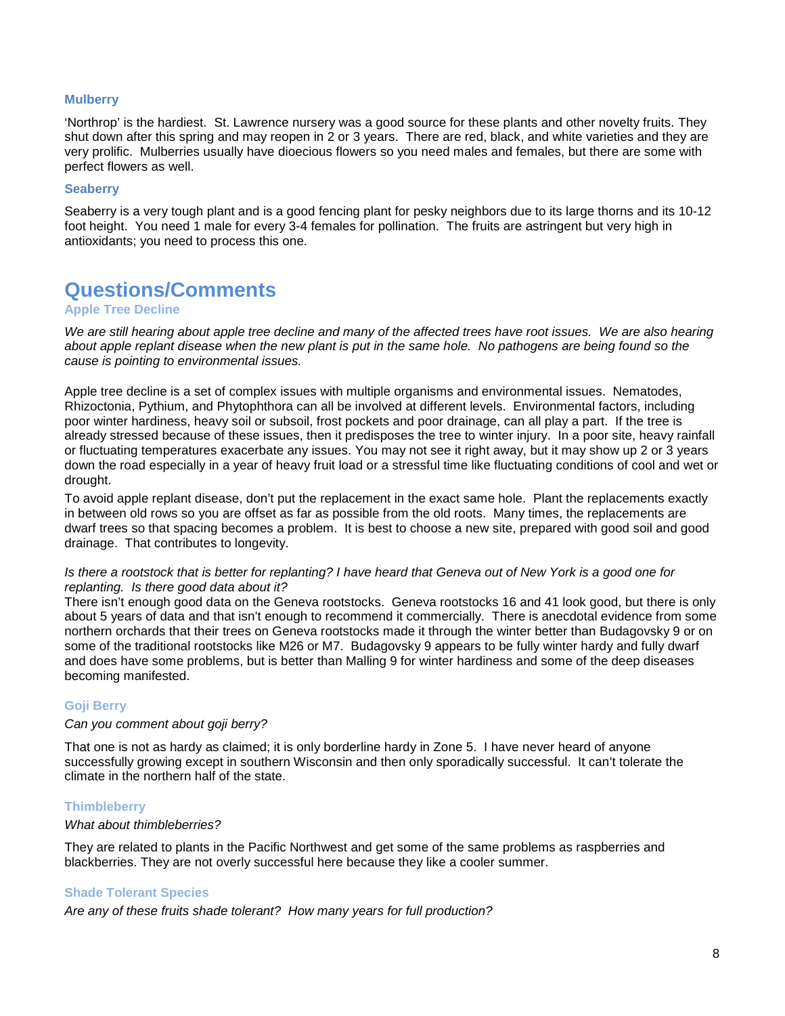#### **Mulberry**

'Northrop' is the hardiest. St. Lawrence nursery was a good source for these plants and other novelty fruits. They shut down after this spring and may reopen in 2 or 3 years. There are red, black, and white varieties and they are very prolific. Mulberries usually have dioecious flowers so you need males and females, but there are some with perfect flowers as well.

#### **Seaberry**

Seaberry is a very tough plant and is a good fencing plant for pesky neighbors due to its large thorns and its 10-12 foot height. You need 1 male for every 3-4 females for pollination. The fruits are astringent but very high in antioxidants; you need to process this one.

### **Questions/Comments**

#### **Apple Tree Decline**

We are still hearing about apple tree decline and many of the affected trees have root issues. We are also hearing *about apple replant disease when the new plant is put in the same hole. No pathogens are being found so the cause is pointing to environmental issues.* 

Apple tree decline is a set of complex issues with multiple organisms and environmental issues. Nematodes, Rhizoctonia, Pythium, and Phytophthora can all be involved at different levels. Environmental factors, including poor winter hardiness, heavy soil or subsoil, frost pockets and poor drainage, can all play a part. If the tree is already stressed because of these issues, then it predisposes the tree to winter injury. In a poor site, heavy rainfall or fluctuating temperatures exacerbate any issues. You may not see it right away, but it may show up 2 or 3 years down the road especially in a year of heavy fruit load or a stressful time like fluctuating conditions of cool and wet or drought.

To avoid apple replant disease, don't put the replacement in the exact same hole. Plant the replacements exactly in between old rows so you are offset as far as possible from the old roots. Many times, the replacements are dwarf trees so that spacing becomes a problem. It is best to choose a new site, prepared with good soil and good drainage. That contributes to longevity.

#### *Is there a rootstock that is better for replanting? I have heard that Geneva out of New York is a good one for replanting. Is there good data about it?*

There isn't enough good data on the Geneva rootstocks. Geneva rootstocks 16 and 41 look good, but there is only about 5 years of data and that isn't enough to recommend it commercially. There is anecdotal evidence from some northern orchards that their trees on Geneva rootstocks made it through the winter better than Budagovsky 9 or on some of the traditional rootstocks like M26 or M7. Budagovsky 9 appears to be fully winter hardy and fully dwarf and does have some problems, but is better than Malling 9 for winter hardiness and some of the deep diseases becoming manifested.

#### **Goji Berry**

#### *Can you comment about goji berry?*

That one is not as hardy as claimed; it is only borderline hardy in Zone 5. I have never heard of anyone successfully growing except in southern Wisconsin and then only sporadically successful. It can't tolerate the climate in the northern half of the state.

#### **Thimbleberry**

#### *What about thimbleberries?*

They are related to plants in the Pacific Northwest and get some of the same problems as raspberries and blackberries. They are not overly successful here because they like a cooler summer.

#### **Shade Tolerant Species**

*Are any of these fruits shade tolerant? How many years for full production?*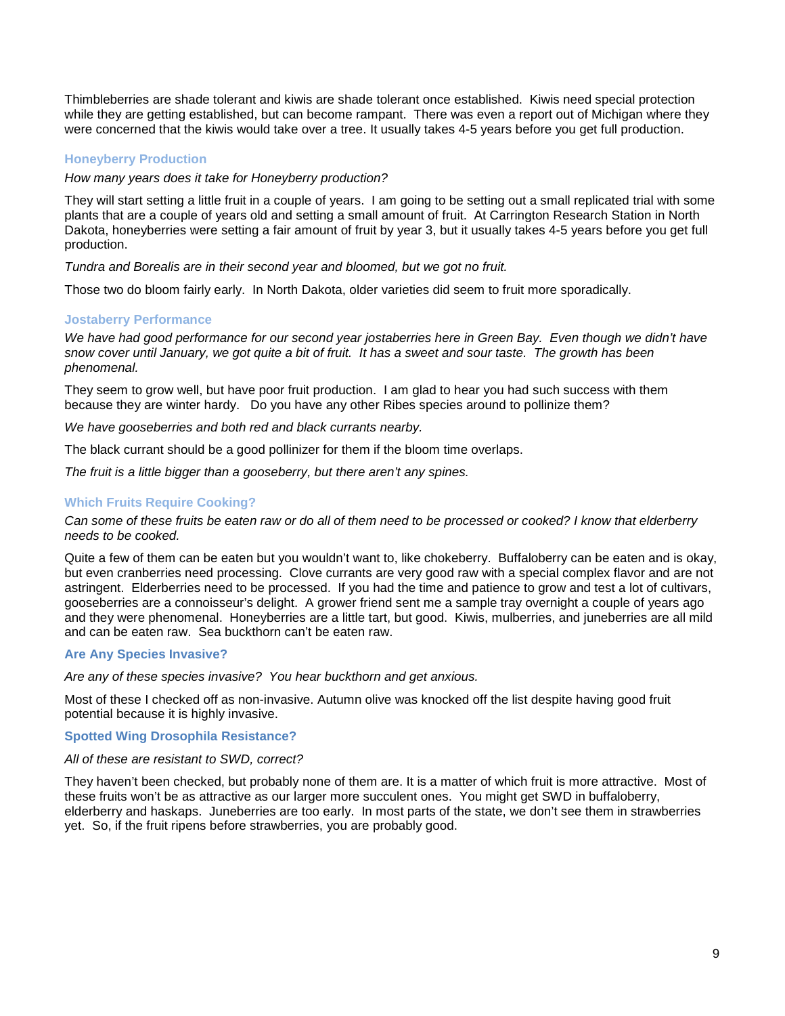Thimbleberries are shade tolerant and kiwis are shade tolerant once established. Kiwis need special protection while they are getting established, but can become rampant. There was even a report out of Michigan where they were concerned that the kiwis would take over a tree. It usually takes 4-5 years before you get full production.

### **Honeyberry Production**

*How many years does it take for Honeyberry production?*

They will start setting a little fruit in a couple of years. I am going to be setting out a small replicated trial with some plants that are a couple of years old and setting a small amount of fruit. At Carrington Research Station in North Dakota, honeyberries were setting a fair amount of fruit by year 3, but it usually takes 4-5 years before you get full production.

*Tundra and Borealis are in their second year and bloomed, but we got no fruit.*

Those two do bloom fairly early. In North Dakota, older varieties did seem to fruit more sporadically.

#### **Jostaberry Performance**

*We have had good performance for our second year jostaberries here in Green Bay. Even though we didn't have snow cover until January, we got quite a bit of fruit. It has a sweet and sour taste. The growth has been phenomenal.*

They seem to grow well, but have poor fruit production. I am glad to hear you had such success with them because they are winter hardy. Do you have any other Ribes species around to pollinize them?

*We have gooseberries and both red and black currants nearby.* 

The black currant should be a good pollinizer for them if the bloom time overlaps.

*The fruit is a little bigger than a gooseberry, but there aren't any spines.*

### **Which Fruits Require Cooking?**

*Can some of these fruits be eaten raw or do all of them need to be processed or cooked? I know that elderberry needs to be cooked.*

Quite a few of them can be eaten but you wouldn't want to, like chokeberry. Buffaloberry can be eaten and is okay, but even cranberries need processing. Clove currants are very good raw with a special complex flavor and are not astringent. Elderberries need to be processed. If you had the time and patience to grow and test a lot of cultivars, gooseberries are a connoisseur's delight. A grower friend sent me a sample tray overnight a couple of years ago and they were phenomenal. Honeyberries are a little tart, but good. Kiwis, mulberries, and juneberries are all mild and can be eaten raw. Sea buckthorn can't be eaten raw.

#### **Are Any Species Invasive?**

*Are any of these species invasive? You hear buckthorn and get anxious.*

Most of these I checked off as non-invasive. Autumn olive was knocked off the list despite having good fruit potential because it is highly invasive.

#### **Spotted Wing Drosophila Resistance?**

#### *All of these are resistant to SWD, correct?*

They haven't been checked, but probably none of them are. It is a matter of which fruit is more attractive. Most of these fruits won't be as attractive as our larger more succulent ones. You might get SWD in buffaloberry, elderberry and haskaps. Juneberries are too early. In most parts of the state, we don't see them in strawberries yet. So, if the fruit ripens before strawberries, you are probably good.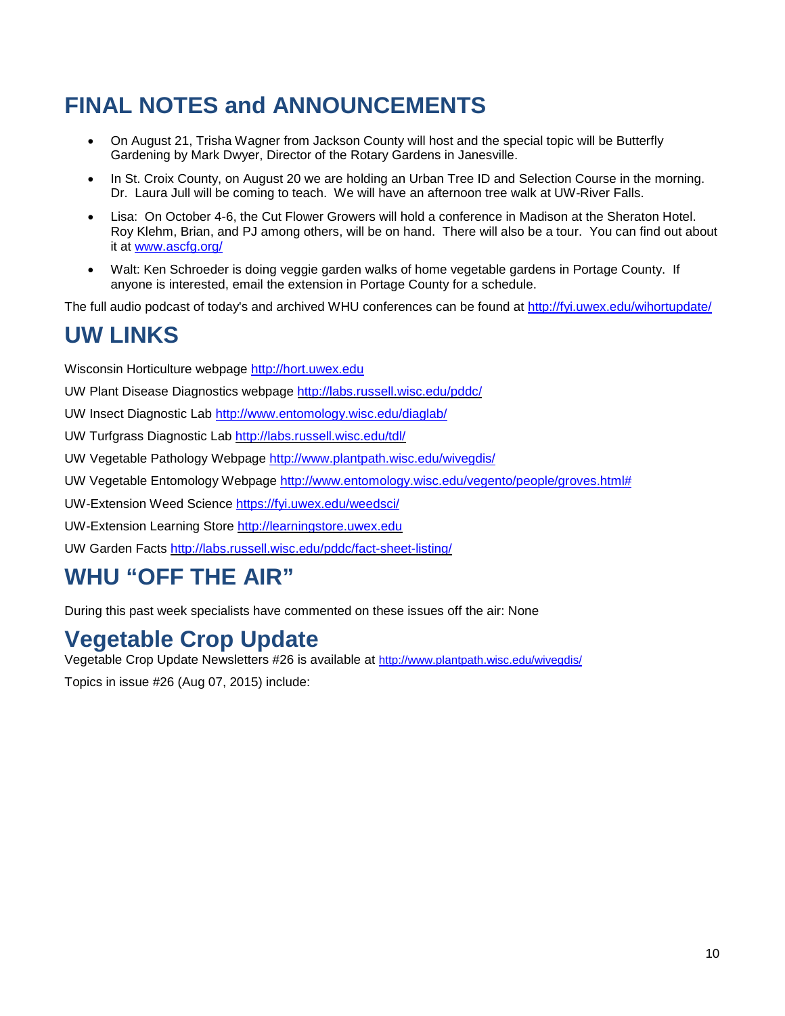# **FINAL NOTES and ANNOUNCEMENTS**

- On August 21, Trisha Wagner from Jackson County will host and the special topic will be Butterfly Gardening by Mark Dwyer, Director of the Rotary Gardens in Janesville.
- In St. Croix County, on August 20 we are holding an Urban Tree ID and Selection Course in the morning. Dr. Laura Jull will be coming to teach. We will have an afternoon tree walk at UW-River Falls.
- Lisa: On October 4-6, the Cut Flower Growers will hold a conference in Madison at the Sheraton Hotel. Roy Klehm, Brian, and PJ among others, will be on hand. There will also be a tour. You can find out about it at [www.ascfg.org/](http://www.ascfg.org/)
- Walt: Ken Schroeder is doing veggie garden walks of home vegetable gardens in Portage County. If anyone is interested, email the extension in Portage County for a schedule.

The full audio podcast of today's and archived WHU conferences can be found at<http://fyi.uwex.edu/wihortupdate/>

## **UW LINKS**

Wisconsin Horticulture webpage [http://hort.uwex.edu](http://hort.uwex.edu/)

UW Plant Disease Diagnostics webpage<http://labs.russell.wisc.edu/pddc/>

UW Insect Diagnostic Lab<http://www.entomology.wisc.edu/diaglab/>

UW Turfgrass Diagnostic Lab<http://labs.russell.wisc.edu/tdl/>

UW Vegetable Pathology Webpage<http://www.plantpath.wisc.edu/wivegdis/>

UW Vegetable Entomology Webpage [http://www.entomology.wisc.edu/vegento/people/groves.html#](http://www.entomology.wisc.edu/vegento/people/groves.html%23)

UW-Extension Weed Science https://fyi.uwex.edu/weedsci/

UW-Extension Learning Store [http://learningstore.uwex.edu](http://learningstore.uwex.edu/)

UW Garden Facts<http://labs.russell.wisc.edu/pddc/fact-sheet-listing/>

## **WHU "OFF THE AIR"**

During this past week specialists have commented on these issues off the air: None

## **Vegetable Crop Update**

Vegetable Crop Update Newsletters #26 is available at<http://www.plantpath.wisc.edu/wivegdis/>

Topics in issue #26 (Aug 07, 2015) include: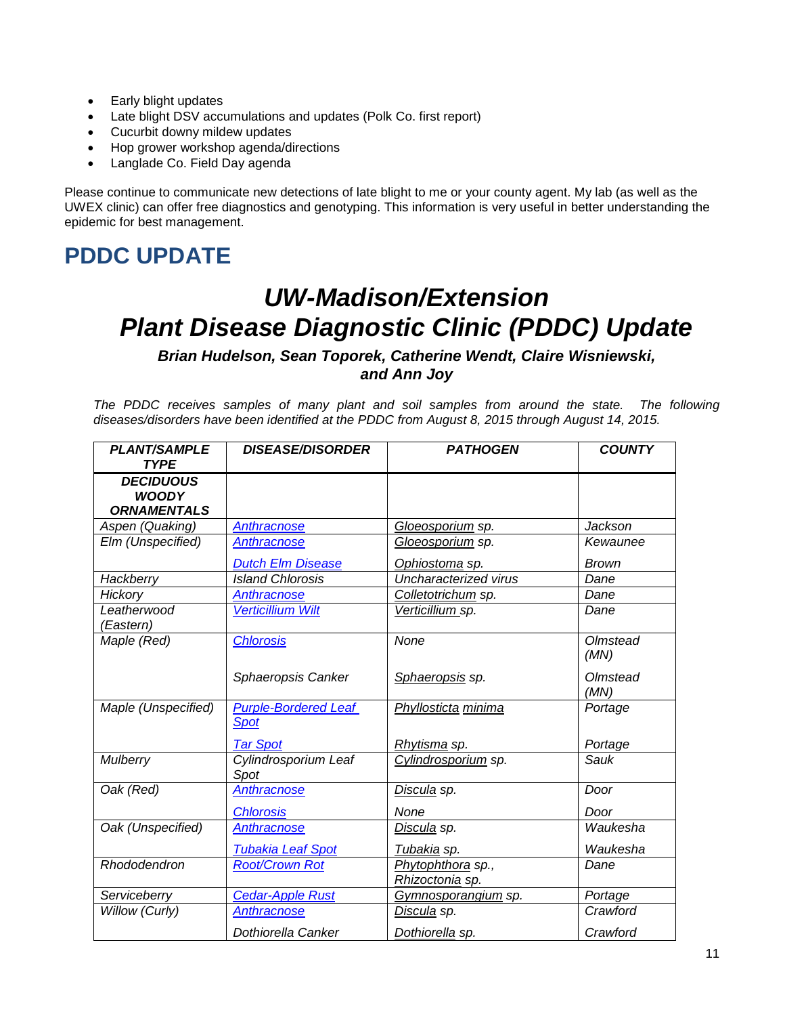- Early blight updates
- Late blight DSV accumulations and updates (Polk Co. first report)
- Cucurbit downy mildew updates
- Hop grower workshop agenda/directions
- Langlade Co. Field Day agenda

Please continue to communicate new detections of late blight to me or your county agent. My lab (as well as the UWEX clinic) can offer free diagnostics and genotyping. This information is very useful in better understanding the epidemic for best management.

## **PDDC UPDATE**

# *UW-Madison/Extension Plant Disease Diagnostic Clinic (PDDC) Update*

### *Brian Hudelson, Sean Toporek, Catherine Wendt, Claire Wisniewski, and Ann Joy*

*The PDDC receives samples of many plant and soil samples from around the state. The following diseases/disorders have been identified at the PDDC from August 8, 2015 through August 14, 2015.*

| <b>PLANT/SAMPLE</b><br><b>TYPE</b>                     | <b>DISEASE/DISORDER</b>                    | <b>PATHOGEN</b>                      | <b>COUNTY</b>    |
|--------------------------------------------------------|--------------------------------------------|--------------------------------------|------------------|
| <b>DECIDUOUS</b><br><b>WOODY</b><br><b>ORNAMENTALS</b> |                                            |                                      |                  |
| Aspen (Quaking)                                        | <b>Anthracnose</b>                         | Gloeosporium sp.                     | Jackson          |
| Elm (Unspecified)                                      | <b>Anthracnose</b>                         | Gloeosporium sp.                     | Kewaunee         |
|                                                        | <b>Dutch Elm Disease</b>                   | Ophiostoma sp.                       | <b>Brown</b>     |
| Hackberry                                              | <b>Island Chlorosis</b>                    | Uncharacterized virus                | Dane             |
| Hickory                                                | Anthracnose                                | Colletotrichum sp.                   | Dane             |
| Leatherwood<br>(Eastern)                               | <b>Verticillium Wilt</b>                   | Verticillium sp.                     | Dane             |
| Maple (Red)                                            | <b>Chlorosis</b>                           | None                                 | Olmstead<br>(MN) |
|                                                        | Sphaeropsis Canker                         | Sphaeropsis sp.                      | Olmstead<br>(MN) |
| Maple (Unspecified)                                    | <b>Purple-Bordered Leaf</b><br><b>Spot</b> | Phyllosticta minima                  | Portage          |
|                                                        | <b>Tar Spot</b>                            | <u>Rhytisma</u> sp.                  | Portage          |
| Mulberry                                               | Cylindrosporium Leaf<br>Spot               | Cylindrosporium sp.                  | Sauk             |
| Oak (Red)                                              | <b>Anthracnose</b>                         | Discula sp.                          | Door             |
|                                                        | <b>Chlorosis</b>                           | None                                 | Door             |
| Oak (Unspecified)                                      | <b>Anthracnose</b>                         | Discula sp.                          | Waukesha         |
|                                                        | <b>Tubakia Leaf Spot</b>                   | <u>Tubakia</u> sp.                   | Waukesha         |
| Rhododendron                                           | <b>Root/Crown Rot</b>                      | Phytophthora sp.,<br>Rhizoctonia sp. | Dane             |
| Serviceberry                                           | <b>Cedar-Apple Rust</b>                    | Gymnosporangium sp.                  | Portage          |
| Willow (Curly)                                         | <b>Anthracnose</b>                         | Discula sp.                          | Crawford         |
|                                                        | Dothiorella Canker                         | Dothiorella sp.                      | Crawford         |